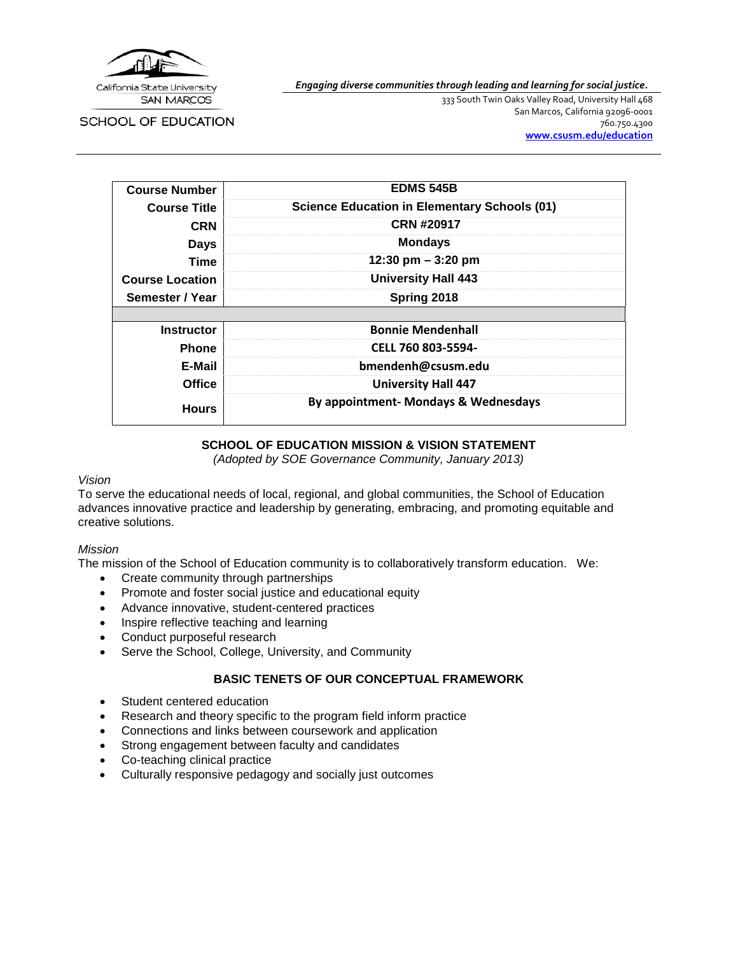

*Engaging diverse communities through leading and learning for social justice.*

SCHOOL OF EDUCATION

333 South Twin Oaks Valley Road, University Hall 468 San Marcos, California 92096-0001 760.750.4300 **[www.csusm.edu/education](http://www.csusm.edu/education)**

| <b>Course Number</b>   | <b>EDMS 545B</b>                                    |
|------------------------|-----------------------------------------------------|
| <b>Course Title</b>    | <b>Science Education in Elementary Schools (01)</b> |
| <b>CRN</b>             | <b>CRN #20917</b>                                   |
| <b>Days</b>            | <b>Mondays</b>                                      |
| Time                   | 12:30 pm $-$ 3:20 pm                                |
| <b>Course Location</b> | <b>University Hall 443</b>                          |
| Semester / Year        | Spring 2018                                         |
|                        |                                                     |
| <b>Instructor</b>      | <b>Bonnie Mendenhall</b>                            |
| <b>Phone</b>           | CELL 760 803-5594-                                  |
| E-Mail                 | bmendenh@csusm.edu                                  |
| <b>Office</b>          | <b>University Hall 447</b>                          |
| <b>Hours</b>           | By appointment- Mondays & Wednesdays                |

# **SCHOOL OF EDUCATION MISSION & VISION STATEMENT**

*(Adopted by SOE Governance Community, January 2013)*

#### *Vision*

To serve the educational needs of local, regional, and global communities, the School of Education advances innovative practice and leadership by generating, embracing, and promoting equitable and creative solutions.

#### *Mission*

The mission of the School of Education community is to collaboratively transform education. We:

- Create community through partnerships
- Promote and foster social justice and educational equity
- Advance innovative, student-centered practices
- Inspire reflective teaching and learning
- Conduct purposeful research
- Serve the School, College, University, and Community

# **BASIC TENETS OF OUR CONCEPTUAL FRAMEWORK**

- Student centered education
- Research and theory specific to the program field inform practice
- Connections and links between coursework and application
- Strong engagement between faculty and candidates
- Co-teaching clinical practice
- Culturally responsive pedagogy and socially just outcomes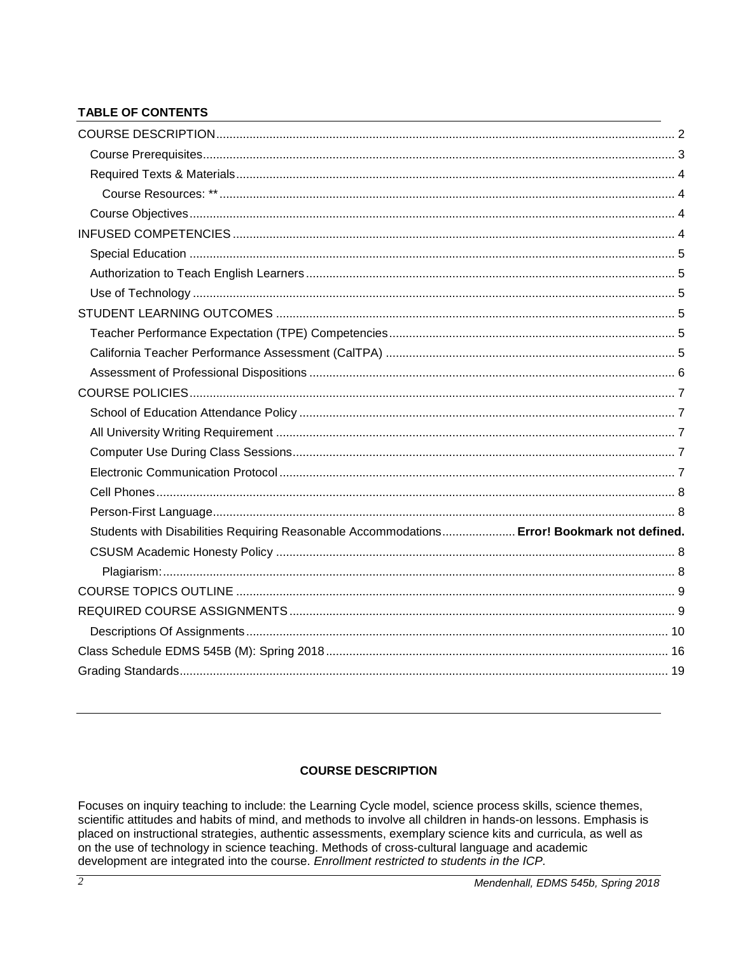# **TABLE OF CONTENTS**

| Students with Disabilities Requiring Reasonable Accommodations Error! Bookmark not defined. |  |
|---------------------------------------------------------------------------------------------|--|
|                                                                                             |  |
|                                                                                             |  |
|                                                                                             |  |
|                                                                                             |  |
|                                                                                             |  |
|                                                                                             |  |
|                                                                                             |  |

# **COURSE DESCRIPTION**

<span id="page-1-0"></span>Focuses on inquiry teaching to include: the Learning Cycle model, science process skills, science themes, scientific attitudes and habits of mind, and methods to involve all children in hands-on lessons. Emphasis is placed on instructional strategies, authentic assessments, exemplary science kits and curricula, as well as on the use of technology in science teaching. Methods of cross-cultural language and academic development are integrated into the course. Enrollment restricted to students in the ICP.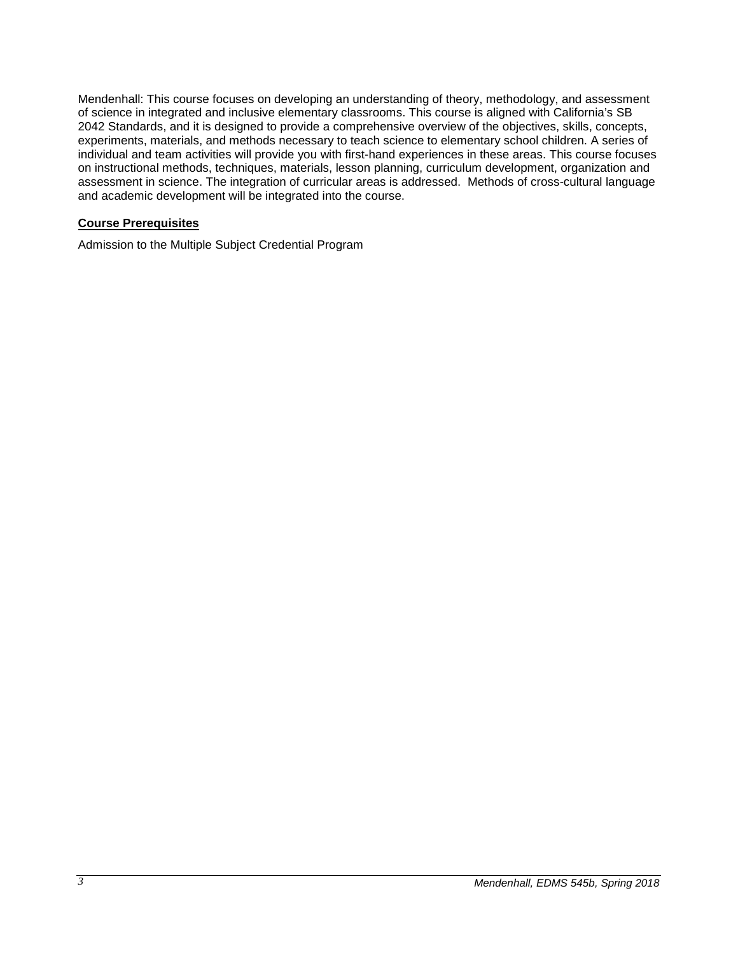Mendenhall: This course focuses on developing an understanding of theory, methodology, and assessment of science in integrated and inclusive elementary classrooms. This course is aligned with California's SB 2042 Standards, and it is designed to provide a comprehensive overview of the objectives, skills, concepts, experiments, materials, and methods necessary to teach science to elementary school children. A series of individual and team activities will provide you with first-hand experiences in these areas. This course focuses on instructional methods, techniques, materials, lesson planning, curriculum development, organization and assessment in science. The integration of curricular areas is addressed. Methods of cross-cultural language and academic development will be integrated into the course.

#### <span id="page-2-0"></span>**Course Prerequisites**

Admission to the Multiple Subject Credential Program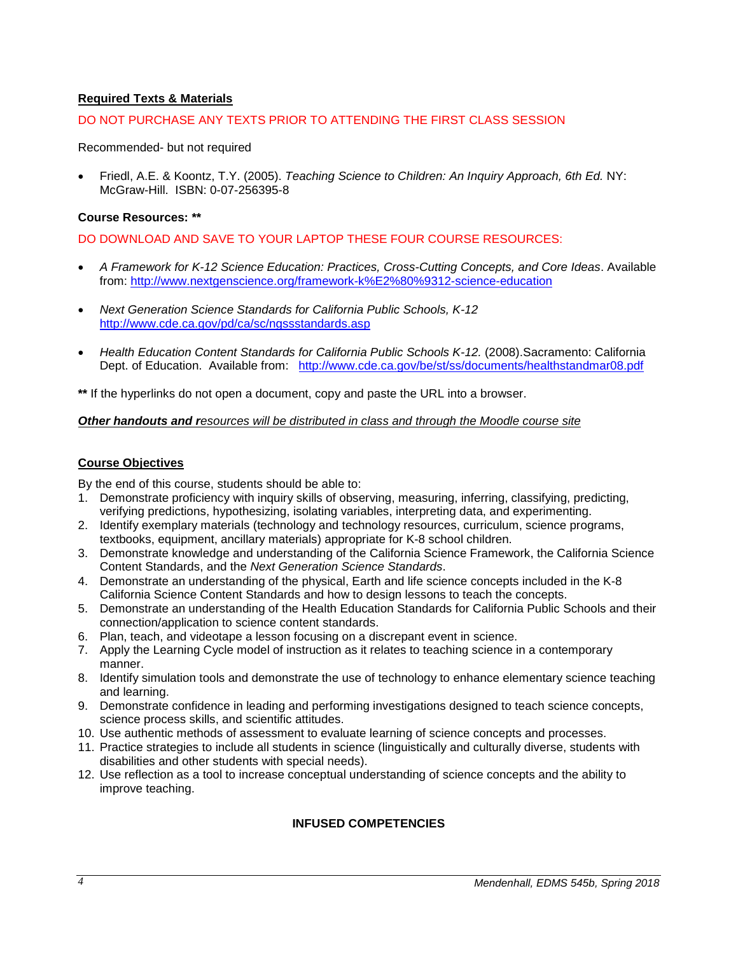# <span id="page-3-0"></span>**Required Texts & Materials**

#### DO NOT PURCHASE ANY TEXTS PRIOR TO ATTENDING THE FIRST CLASS SESSION

#### Recommended- but not required

• Friedl, A.E. & Koontz, T.Y. (2005). *Teaching Science to Children: An Inquiry Approach, 6th Ed.* NY: McGraw-Hill. ISBN: 0-07-256395-8

#### <span id="page-3-1"></span>**Course Resources: \*\***

DO DOWNLOAD AND SAVE TO YOUR LAPTOP THESE FOUR COURSE RESOURCES:

- *A Framework for K-12 Science Education: Practices, Cross-Cutting Concepts, and Core Ideas*. Available from:<http://www.nextgenscience.org/framework-k%E2%80%9312-science-education>
- *Next Generation Science Standards for California Public Schools, K-12* <http://www.cde.ca.gov/pd/ca/sc/ngssstandards.asp>
- *Health Education Content Standards for California Public Schools K-12.* (2008).Sacramento: California Dept. of Education. Available from: <http://www.cde.ca.gov/be/st/ss/documents/healthstandmar08.pdf>

**\*\*** If the hyperlinks do not open a document, copy and paste the URL into a browser.

#### *Other handouts and resources will be distributed in class and through the Moodle course site*

#### <span id="page-3-2"></span>**Course Objectives**

By the end of this course, students should be able to:

- 1. Demonstrate proficiency with inquiry skills of observing, measuring, inferring, classifying, predicting, verifying predictions, hypothesizing, isolating variables, interpreting data, and experimenting.
- 2. Identify exemplary materials (technology and technology resources, curriculum, science programs, textbooks, equipment, ancillary materials) appropriate for K-8 school children.
- 3. Demonstrate knowledge and understanding of the California Science Framework, the California Science Content Standards, and the *Next Generation Science Standards*.
- 4. Demonstrate an understanding of the physical, Earth and life science concepts included in the K-8 California Science Content Standards and how to design lessons to teach the concepts.
- 5. Demonstrate an understanding of the Health Education Standards for California Public Schools and their connection/application to science content standards.
- 6. Plan, teach, and videotape a lesson focusing on a discrepant event in science.
- 7. Apply the Learning Cycle model of instruction as it relates to teaching science in a contemporary manner.
- 8. Identify simulation tools and demonstrate the use of technology to enhance elementary science teaching and learning.
- 9. Demonstrate confidence in leading and performing investigations designed to teach science concepts, science process skills, and scientific attitudes.
- 10. Use authentic methods of assessment to evaluate learning of science concepts and processes.
- 11. Practice strategies to include all students in science (linguistically and culturally diverse, students with disabilities and other students with special needs).
- <span id="page-3-3"></span>12. Use reflection as a tool to increase conceptual understanding of science concepts and the ability to improve teaching.

# **INFUSED COMPETENCIES**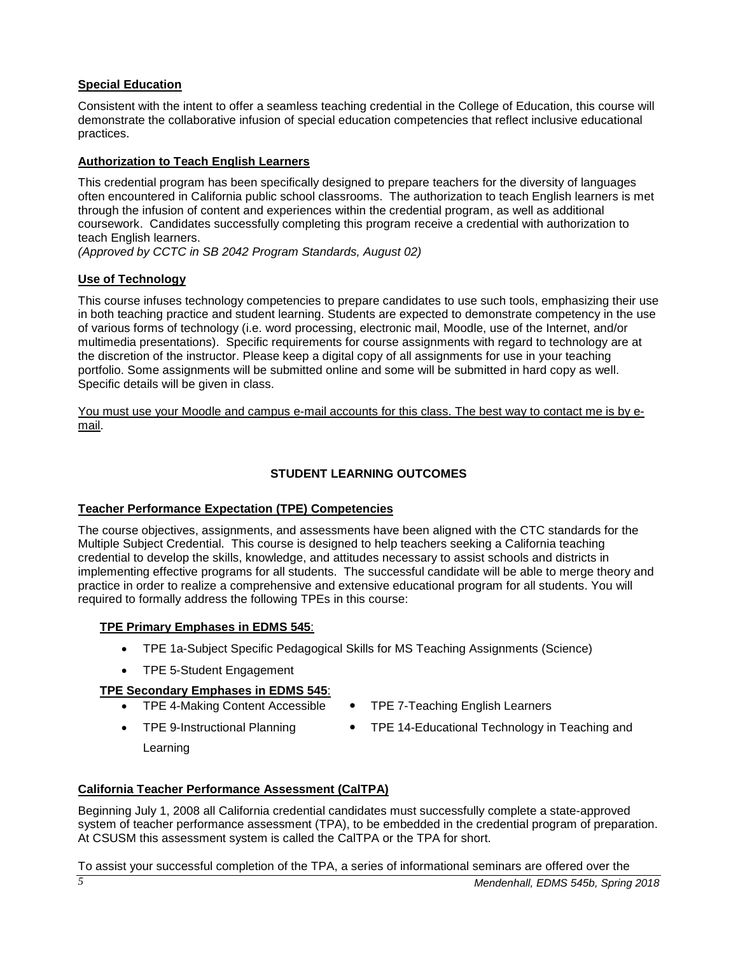# <span id="page-4-0"></span>**Special Education**

Consistent with the intent to offer a seamless teaching credential in the College of Education, this course will demonstrate the collaborative infusion of special education competencies that reflect inclusive educational practices.

# <span id="page-4-1"></span>**Authorization to Teach English Learners**

This credential program has been specifically designed to prepare teachers for the diversity of languages often encountered in California public school classrooms. The authorization to teach English learners is met through the infusion of content and experiences within the credential program, as well as additional coursework. Candidates successfully completing this program receive a credential with authorization to teach English learners.

*(Approved by CCTC in SB 2042 Program Standards, August 02)*

# <span id="page-4-2"></span>**Use of Technology**

This course infuses technology competencies to prepare candidates to use such tools, emphasizing their use in both teaching practice and student learning. Students are expected to demonstrate competency in the use of various forms of technology (i.e. word processing, electronic mail, Moodle, use of the Internet, and/or multimedia presentations). Specific requirements for course assignments with regard to technology are at the discretion of the instructor. Please keep a digital copy of all assignments for use in your teaching portfolio. Some assignments will be submitted online and some will be submitted in hard copy as well. Specific details will be given in class.

You must use your Moodle and campus e-mail accounts for this class. The best way to contact me is by email.

# **STUDENT LEARNING OUTCOMES**

# <span id="page-4-4"></span><span id="page-4-3"></span>**Teacher Performance Expectation (TPE) Competencies**

The course objectives, assignments, and assessments have been aligned with the CTC standards for the Multiple Subject Credential. This course is designed to help teachers seeking a California teaching credential to develop the skills, knowledge, and attitudes necessary to assist schools and districts in implementing effective programs for all students. The successful candidate will be able to merge theory and practice in order to realize a comprehensive and extensive educational program for all students. You will required to formally address the following TPEs in this course:

# **TPE Primary Emphases in EDMS 545**:

- TPE 1a-Subject Specific Pedagogical Skills for MS Teaching Assignments (Science)
- TPE 5-Student Engagement

# **TPE Secondary Emphases in EDMS 545**:

- TPE 4-Making Content Accessible TPE 7-Teaching English Learners
- - TPE 9-Instructional Planning TPE 14-Educational Technology in Teaching and
- 

Learning

# <span id="page-4-5"></span>**California Teacher Performance Assessment (CalTPA)**

Beginning July 1, 2008 all California credential candidates must successfully complete a state-approved system of teacher performance assessment (TPA), to be embedded in the credential program of preparation. At CSUSM this assessment system is called the CalTPA or the TPA for short.

To assist your successful completion of the TPA, a series of informational seminars are offered over the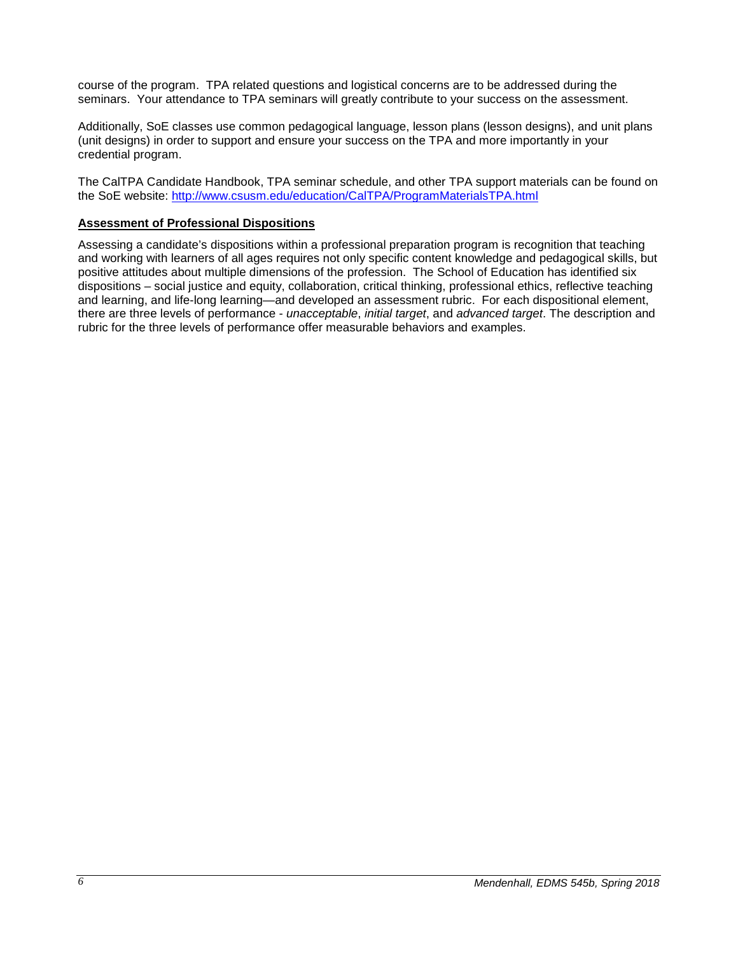course of the program. TPA related questions and logistical concerns are to be addressed during the seminars. Your attendance to TPA seminars will greatly contribute to your success on the assessment.

Additionally, SoE classes use common pedagogical language, lesson plans (lesson designs), and unit plans (unit designs) in order to support and ensure your success on the TPA and more importantly in your credential program.

The CalTPA Candidate Handbook, TPA seminar schedule, and other TPA support materials can be found on the SoE website:<http://www.csusm.edu/education/CalTPA/ProgramMaterialsTPA.html>

### <span id="page-5-0"></span>**Assessment of Professional Dispositions**

Assessing a candidate's dispositions within a professional preparation program is recognition that teaching and working with learners of all ages requires not only specific content knowledge and pedagogical skills, but positive attitudes about multiple dimensions of the profession. The School of Education has identified six dispositions – social justice and equity, collaboration, critical thinking, professional ethics, reflective teaching and learning, and life-long learning—and developed an assessment rubric. For each dispositional element, there are three levels of performance - *unacceptable*, *initial target*, and *advanced target*. The description and rubric for the three levels of performance offer measurable behaviors and examples.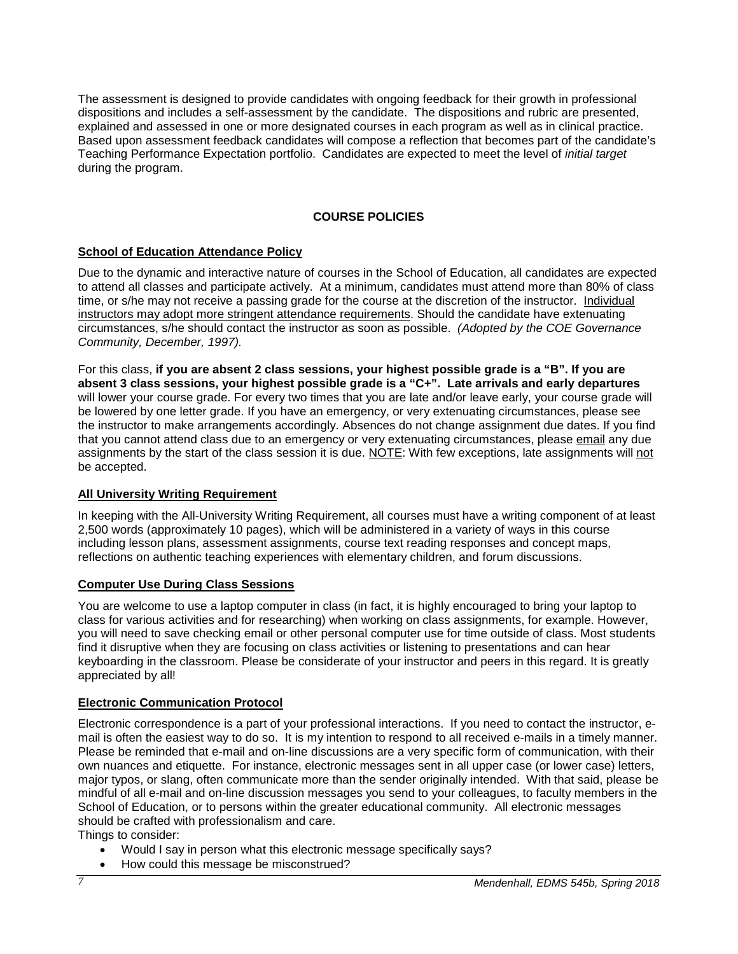The assessment is designed to provide candidates with ongoing feedback for their growth in professional dispositions and includes a self-assessment by the candidate. The dispositions and rubric are presented, explained and assessed in one or more designated courses in each program as well as in clinical practice. Based upon assessment feedback candidates will compose a reflection that becomes part of the candidate's Teaching Performance Expectation portfolio. Candidates are expected to meet the level of *initial target* during the program.

# **COURSE POLICIES**

# <span id="page-6-1"></span><span id="page-6-0"></span>**School of Education Attendance Policy**

Due to the dynamic and interactive nature of courses in the School of Education, all candidates are expected to attend all classes and participate actively. At a minimum, candidates must attend more than 80% of class time, or s/he may not receive a passing grade for the course at the discretion of the instructor. Individual instructors may adopt more stringent attendance requirements. Should the candidate have extenuating circumstances, s/he should contact the instructor as soon as possible. *(Adopted by the COE Governance Community, December, 1997).*

For this class, **if you are absent 2 class sessions, your highest possible grade is a "B". If you are absent 3 class sessions, your highest possible grade is a "C+". Late arrivals and early departures** will lower your course grade. For every two times that you are late and/or leave early, your course grade will be lowered by one letter grade. If you have an emergency, or very extenuating circumstances, please see the instructor to make arrangements accordingly. Absences do not change assignment due dates. If you find that you cannot attend class due to an emergency or very extenuating circumstances, please email any due assignments by the start of the class session it is due. NOTE: With few exceptions, late assignments will not be accepted.

# <span id="page-6-2"></span>**All University Writing Requirement**

In keeping with the All-University Writing Requirement, all courses must have a writing component of at least 2,500 words (approximately 10 pages), which will be administered in a variety of ways in this course including lesson plans, assessment assignments, course text reading responses and concept maps, reflections on authentic teaching experiences with elementary children, and forum discussions.

# <span id="page-6-3"></span>**Computer Use During Class Sessions**

You are welcome to use a laptop computer in class (in fact, it is highly encouraged to bring your laptop to class for various activities and for researching) when working on class assignments, for example. However, you will need to save checking email or other personal computer use for time outside of class. Most students find it disruptive when they are focusing on class activities or listening to presentations and can hear keyboarding in the classroom. Please be considerate of your instructor and peers in this regard. It is greatly appreciated by all!

# <span id="page-6-4"></span>**Electronic Communication Protocol**

Electronic correspondence is a part of your professional interactions. If you need to contact the instructor, email is often the easiest way to do so. It is my intention to respond to all received e-mails in a timely manner. Please be reminded that e-mail and on-line discussions are a very specific form of communication, with their own nuances and etiquette. For instance, electronic messages sent in all upper case (or lower case) letters, major typos, or slang, often communicate more than the sender originally intended. With that said, please be mindful of all e-mail and on-line discussion messages you send to your colleagues, to faculty members in the School of Education, or to persons within the greater educational community. All electronic messages should be crafted with professionalism and care.

Things to consider:

- Would I say in person what this electronic message specifically says?
- How could this message be misconstrued?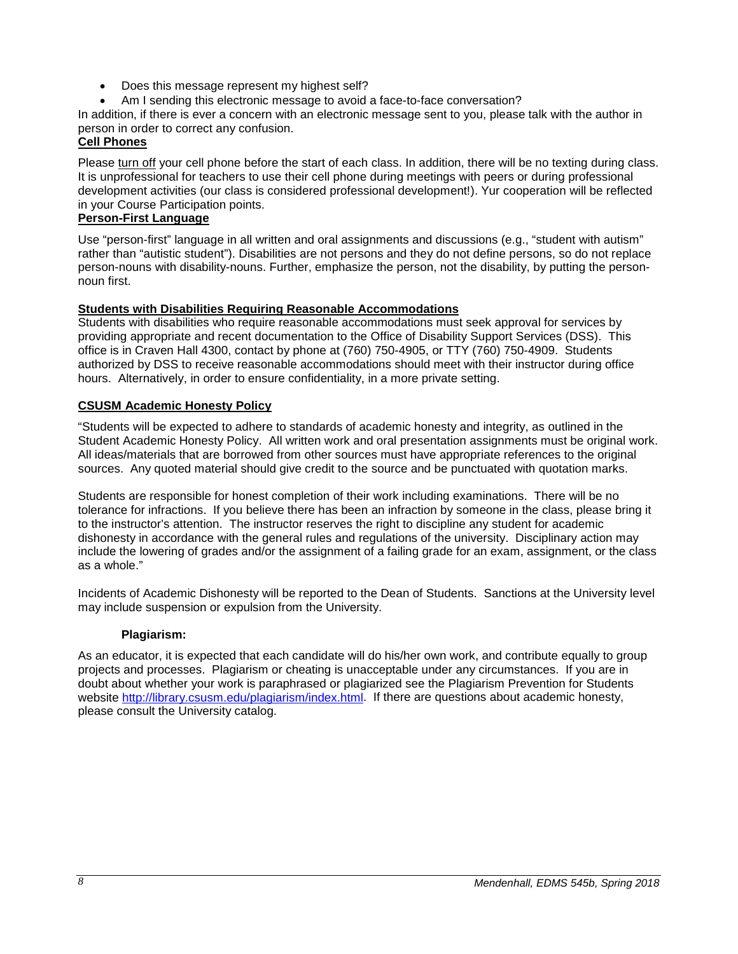- Does this message represent my highest self?
- Am I sending this electronic message to avoid a face-to-face conversation?

In addition, if there is ever a concern with an electronic message sent to you, please talk with the author in person in order to correct any confusion.

# <span id="page-7-0"></span>**Cell Phones**

Please turn off your cell phone before the start of each class. In addition, there will be no texting during class. It is unprofessional for teachers to use their cell phone during meetings with peers or during professional development activities (our class is considered professional development!). Yur cooperation will be reflected in your Course Participation points.

# <span id="page-7-1"></span>**Person-First Language**

Use "person-first" language in all written and oral assignments and discussions (e.g., "student with autism" rather than "autistic student"). Disabilities are not persons and they do not define persons, so do not replace person-nouns with disability-nouns. Further, emphasize the person, not the disability, by putting the personnoun first.

# **Students with Disabilities Requiring Reasonable Accommodations**

Students with disabilities who require reasonable accommodations must seek approval for services by providing appropriate and recent documentation to the Office of Disability Support Services (DSS). This office is in Craven Hall 4300, contact by phone at (760) 750-4905, or TTY (760) 750-4909. Students authorized by DSS to receive reasonable accommodations should meet with their instructor during office hours. Alternatively, in order to ensure confidentiality, in a more private setting.

# <span id="page-7-2"></span>**CSUSM Academic Honesty Policy**

"Students will be expected to adhere to standards of academic honesty and integrity, as outlined in the Student Academic Honesty Policy. All written work and oral presentation assignments must be original work. All ideas/materials that are borrowed from other sources must have appropriate references to the original sources. Any quoted material should give credit to the source and be punctuated with quotation marks.

Students are responsible for honest completion of their work including examinations. There will be no tolerance for infractions. If you believe there has been an infraction by someone in the class, please bring it to the instructor's attention. The instructor reserves the right to discipline any student for academic dishonesty in accordance with the general rules and regulations of the university. Disciplinary action may include the lowering of grades and/or the assignment of a failing grade for an exam, assignment, or the class as a whole."

Incidents of Academic Dishonesty will be reported to the Dean of Students. Sanctions at the University level may include suspension or expulsion from the University.

# **Plagiarism:**

<span id="page-7-3"></span>As an educator, it is expected that each candidate will do his/her own work, and contribute equally to group projects and processes. Plagiarism or cheating is unacceptable under any circumstances. If you are in doubt about whether your work is paraphrased or plagiarized see the Plagiarism Prevention for Students website [http://library.csusm.edu/plagiarism/index.html.](http://library.csusm.edu/plagiarism/index.html) If there are questions about academic honesty, please consult the University catalog.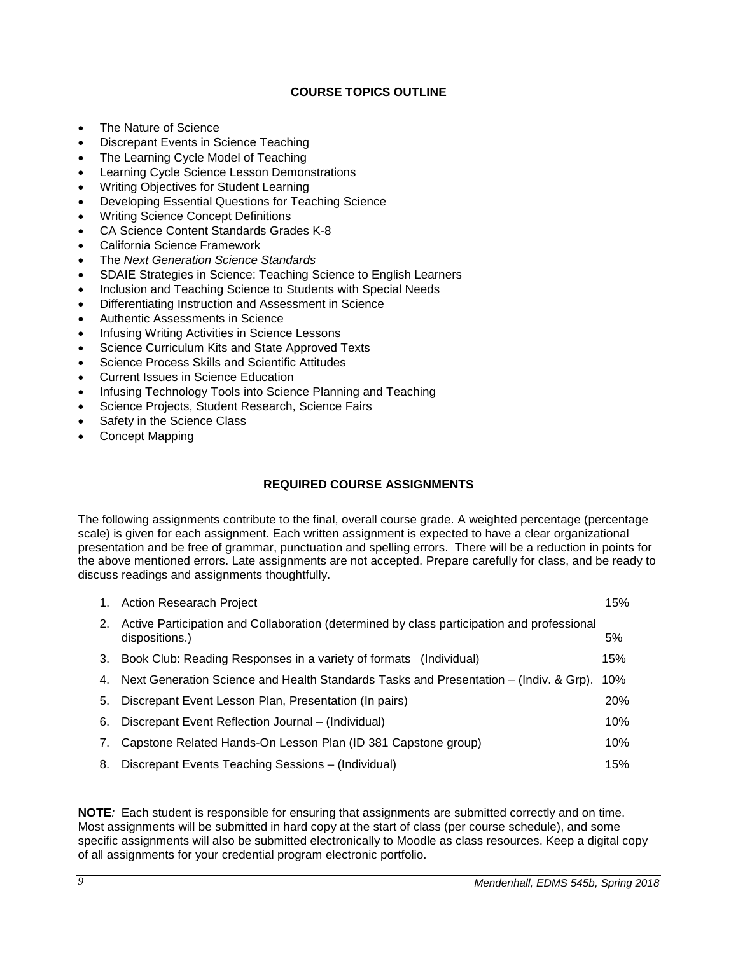# **COURSE TOPICS OUTLINE**

- <span id="page-8-0"></span>• The Nature of Science
- Discrepant Events in Science Teaching
- The Learning Cycle Model of Teaching
- Learning Cycle Science Lesson Demonstrations
- Writing Objectives for Student Learning
- Developing Essential Questions for Teaching Science
- Writing Science Concept Definitions
- CA Science Content Standards Grades K-8
- California Science Framework
- The *Next Generation Science Standards*
- SDAIE Strategies in Science: Teaching Science to English Learners
- Inclusion and Teaching Science to Students with Special Needs
- Differentiating Instruction and Assessment in Science
- Authentic Assessments in Science
- Infusing Writing Activities in Science Lessons
- Science Curriculum Kits and State Approved Texts
- Science Process Skills and Scientific Attitudes
- Current Issues in Science Education
- Infusing Technology Tools into Science Planning and Teaching
- Science Projects, Student Research, Science Fairs
- Safety in the Science Class
- <span id="page-8-1"></span>• Concept Mapping

# **REQUIRED COURSE ASSIGNMENTS**

The following assignments contribute to the final, overall course grade. A weighted percentage (percentage scale) is given for each assignment. Each written assignment is expected to have a clear organizational presentation and be free of grammar, punctuation and spelling errors. There will be a reduction in points for the above mentioned errors. Late assignments are not accepted. Prepare carefully for class, and be ready to discuss readings and assignments thoughtfully.

| 1. | <b>Action Researach Project</b>                                                                              | 15% |
|----|--------------------------------------------------------------------------------------------------------------|-----|
| 2. | Active Participation and Collaboration (determined by class participation and professional<br>dispositions.) | 5%  |
| 3. | Book Club: Reading Responses in a variety of formats (Individual)                                            | 15% |
| 4. | Next Generation Science and Health Standards Tasks and Presentation – (Indiv. & Grp).                        | 10% |
| 5. | Discrepant Event Lesson Plan, Presentation (In pairs)                                                        | 20% |
| 6. | Discrepant Event Reflection Journal – (Individual)                                                           | 10% |
| 7. | Capstone Related Hands-On Lesson Plan (ID 381 Capstone group)                                                | 10% |
| 8. | Discrepant Events Teaching Sessions - (Individual)                                                           | 15% |

**NOTE***:* Each student is responsible for ensuring that assignments are submitted correctly and on time. Most assignments will be submitted in hard copy at the start of class (per course schedule), and some specific assignments will also be submitted electronically to Moodle as class resources. Keep a digital copy of all assignments for your credential program electronic portfolio.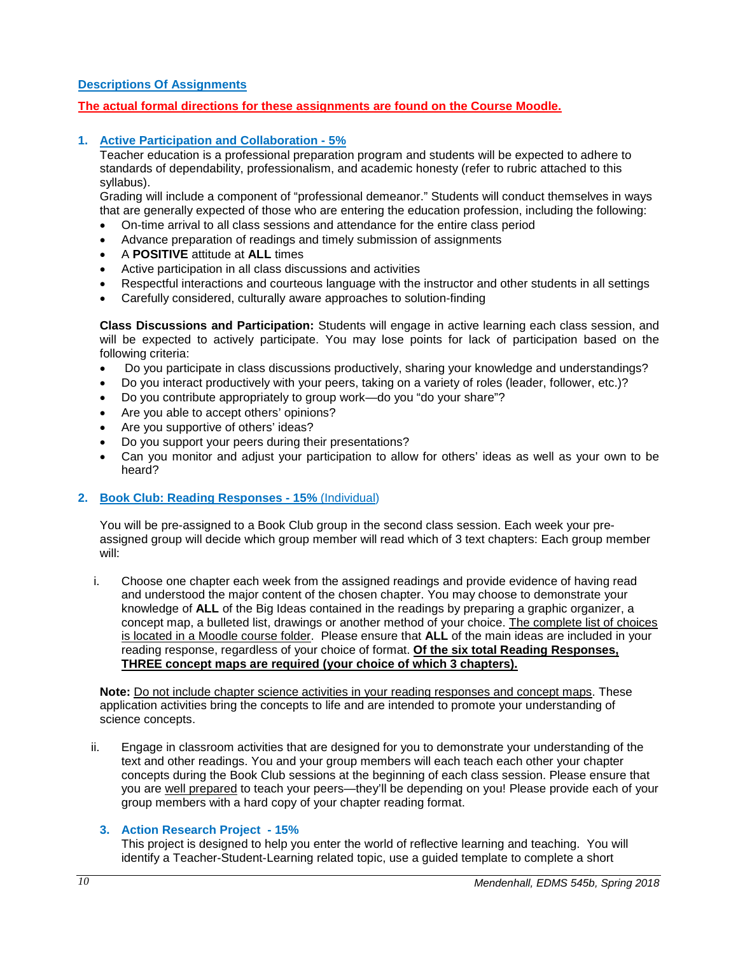# <span id="page-9-0"></span>**Descriptions Of Assignments**

**The actual formal directions for these assignments are found on the Course Moodle.**

### **1. Active Participation and Collaboration - 5%**

Teacher education is a professional preparation program and students will be expected to adhere to standards of dependability, professionalism, and academic honesty (refer to rubric attached to this syllabus).

Grading will include a component of "professional demeanor." Students will conduct themselves in ways that are generally expected of those who are entering the education profession, including the following:

- On-time arrival to all class sessions and attendance for the entire class period
- Advance preparation of readings and timely submission of assignments
- A **POSITIVE** attitude at **ALL** times
- Active participation in all class discussions and activities
- Respectful interactions and courteous language with the instructor and other students in all settings
- Carefully considered, culturally aware approaches to solution-finding

**Class Discussions and Participation:** Students will engage in active learning each class session, and will be expected to actively participate. You may lose points for lack of participation based on the following criteria:

- Do you participate in class discussions productively, sharing your knowledge and understandings?
- Do you interact productively with your peers, taking on a variety of roles (leader, follower, etc.)?
- Do you contribute appropriately to group work—do you "do your share"?
- Are you able to accept others' opinions?
- Are you supportive of others' ideas?
- Do you support your peers during their presentations?
- Can you monitor and adjust your participation to allow for others' ideas as well as your own to be heard?

#### **2. Book Club: Reading Responses - 15%** (Individual)

You will be pre-assigned to a Book Club group in the second class session. Each week your preassigned group will decide which group member will read which of 3 text chapters: Each group member will:

i. Choose one chapter each week from the assigned readings and provide evidence of having read and understood the major content of the chosen chapter. You may choose to demonstrate your knowledge of **ALL** of the Big Ideas contained in the readings by preparing a graphic organizer, a concept map, a bulleted list, drawings or another method of your choice. The complete list of choices is located in a Moodle course folder. Please ensure that **ALL** of the main ideas are included in your reading response, regardless of your choice of format. **Of the six total Reading Responses, THREE concept maps are required (your choice of which 3 chapters).**

Note: Do not include chapter science activities in your reading responses and concept maps. These application activities bring the concepts to life and are intended to promote your understanding of science concepts.

ii. Engage in classroom activities that are designed for you to demonstrate your understanding of the text and other readings. You and your group members will each teach each other your chapter concepts during the Book Club sessions at the beginning of each class session. Please ensure that you are well prepared to teach your peers—they'll be depending on you! Please provide each of your group members with a hard copy of your chapter reading format.

# **3. Action Research Project - 15%**

This project is designed to help you enter the world of reflective learning and teaching. You will identify a Teacher-Student-Learning related topic, use a guided template to complete a short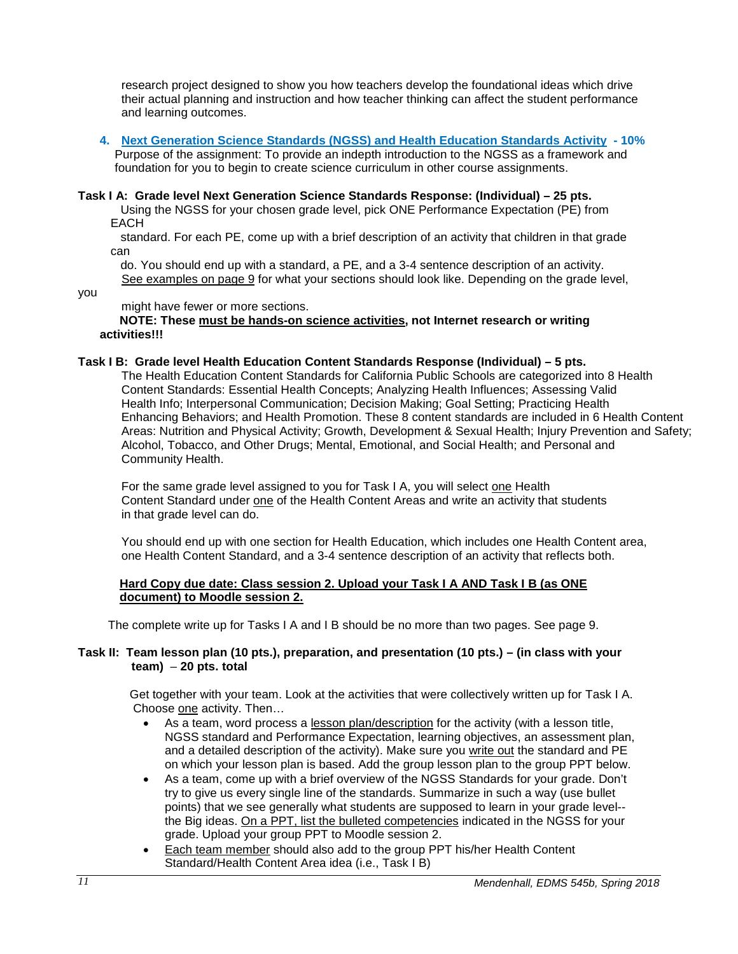research project designed to show you how teachers develop the foundational ideas which drive their actual planning and instruction and how teacher thinking can affect the student performance and learning outcomes.

**4. Next Generation Science Standards (NGSS) and Health Education Standards Activity - 10%** Purpose of the assignment: To provide an indepth introduction to the NGSS as a framework and foundation for you to begin to create science curriculum in other course assignments.

#### **Task I A: Grade level Next Generation Science Standards Response: (Individual) – 25 pts.**

 Using the NGSS for your chosen grade level, pick ONE Performance Expectation (PE) from EACH

 standard. For each PE, come up with a brief description of an activity that children in that grade can

 do. You should end up with a standard, a PE, and a 3-4 sentence description of an activity. See examples on page 9 for what your sections should look like. Depending on the grade level,

you

might have fewer or more sections.

 **NOTE: These must be hands-on science activities, not Internet research or writing activities!!!**

### **Task I B: Grade level Health Education Content Standards Response (Individual) – 5 pts.**

The Health Education Content Standards for California Public Schools are categorized into 8 Health Content Standards: Essential Health Concepts; Analyzing Health Influences; Assessing Valid Health Info; Interpersonal Communication; Decision Making; Goal Setting; Practicing Health Enhancing Behaviors; and Health Promotion. These 8 content standards are included in 6 Health Content Areas: Nutrition and Physical Activity; Growth, Development & Sexual Health; Injury Prevention and Safety; Alcohol, Tobacco, and Other Drugs; Mental, Emotional, and Social Health; and Personal and Community Health.

For the same grade level assigned to you for Task I A, you will select one Health Content Standard under one of the Health Content Areas and write an activity that students in that grade level can do.

You should end up with one section for Health Education, which includes one Health Content area, one Health Content Standard, and a 3-4 sentence description of an activity that reflects both.

#### **Hard Copy due date: Class session 2. Upload your Task I A AND Task I B (as ONE document) to Moodle session 2.**

The complete write up for Tasks I A and I B should be no more than two pages. See page 9.

### **Task II: Team lesson plan (10 pts.), preparation, and presentation (10 pts.) – (in class with your team)** – **20 pts. total**

 Get together with your team. Look at the activities that were collectively written up for Task I A. Choose one activity. Then…

- As a team, word process a lesson plan/description for the activity (with a lesson title, NGSS standard and Performance Expectation, learning objectives, an assessment plan, and a detailed description of the activity). Make sure you write out the standard and PE on which your lesson plan is based. Add the group lesson plan to the group PPT below.
- As a team, come up with a brief overview of the NGSS Standards for your grade. Don't try to give us every single line of the standards. Summarize in such a way (use bullet points) that we see generally what students are supposed to learn in your grade level- the Big ideas. On a PPT, list the bulleted competencies indicated in the NGSS for your grade. Upload your group PPT to Moodle session 2.
- Each team member should also add to the group PPT his/her Health Content Standard/Health Content Area idea (i.e., Task I B)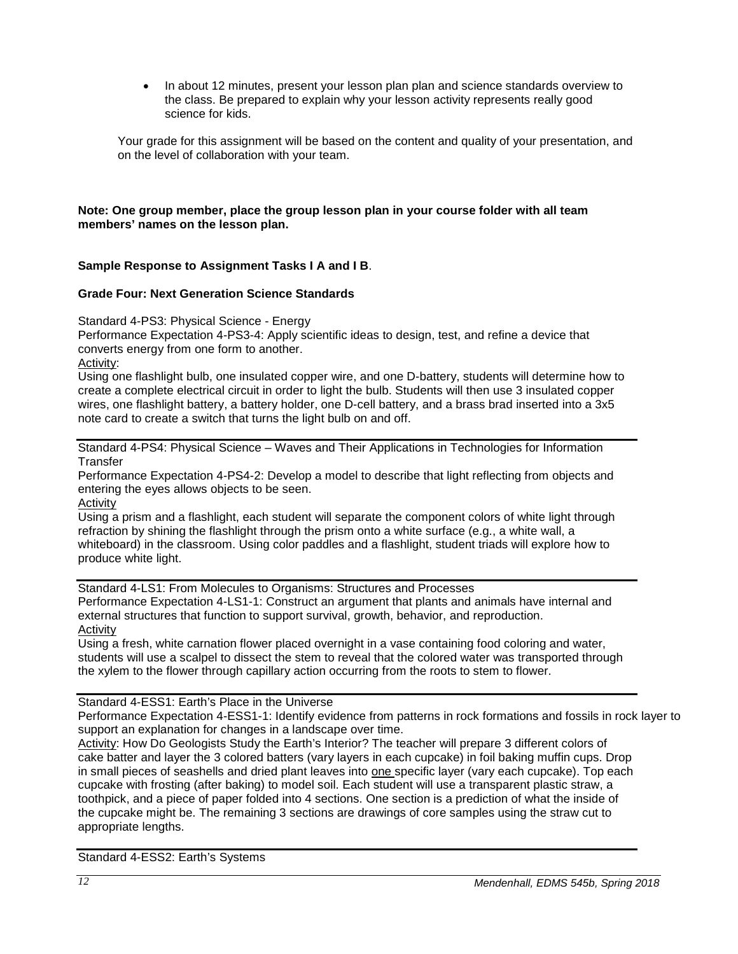• In about 12 minutes, present your lesson plan plan and science standards overview to the class. Be prepared to explain why your lesson activity represents really good science for kids.

Your grade for this assignment will be based on the content and quality of your presentation, and on the level of collaboration with your team.

# **Note: One group member, place the group lesson plan in your course folder with all team members' names on the lesson plan.**

# **Sample Response to Assignment Tasks I A and I B**.

### **Grade Four: Next Generation Science Standards**

Standard 4-PS3: Physical Science - Energy

Performance Expectation 4-PS3-4: Apply scientific ideas to design, test, and refine a device that converts energy from one form to another.

Activity:

Using one flashlight bulb, one insulated copper wire, and one D-battery, students will determine how to create a complete electrical circuit in order to light the bulb. Students will then use 3 insulated copper wires, one flashlight battery, a battery holder, one D-cell battery, and a brass brad inserted into a 3x5 note card to create a switch that turns the light bulb on and off.

Standard 4-PS4: Physical Science – Waves and Their Applications in Technologies for Information **Transfer** 

Performance Expectation 4-PS4-2: Develop a model to describe that light reflecting from objects and entering the eyes allows objects to be seen.

Activity

Using a prism and a flashlight, each student will separate the component colors of white light through refraction by shining the flashlight through the prism onto a white surface (e.g., a white wall, a whiteboard) in the classroom. Using color paddles and a flashlight, student triads will explore how to produce white light.

Standard 4-LS1: From Molecules to Organisms: Structures and Processes Performance Expectation 4-LS1-1: Construct an argument that plants and animals have internal and external structures that function to support survival, growth, behavior, and reproduction. Activity

Using a fresh, white carnation flower placed overnight in a vase containing food coloring and water, students will use a scalpel to dissect the stem to reveal that the colored water was transported through the xylem to the flower through capillary action occurring from the roots to stem to flower.

# Standard 4-ESS1: Earth's Place in the Universe

Performance Expectation 4-ESS1-1: Identify evidence from patterns in rock formations and fossils in rock layer to support an explanation for changes in a landscape over time.

Activity: How Do Geologists Study the Earth's Interior? The teacher will prepare 3 different colors of cake batter and layer the 3 colored batters (vary layers in each cupcake) in foil baking muffin cups. Drop in small pieces of seashells and dried plant leaves into one specific layer (vary each cupcake). Top each cupcake with frosting (after baking) to model soil. Each student will use a transparent plastic straw, a toothpick, and a piece of paper folded into 4 sections. One section is a prediction of what the inside of the cupcake might be. The remaining 3 sections are drawings of core samples using the straw cut to appropriate lengths.

Standard 4-ESS2: Earth's Systems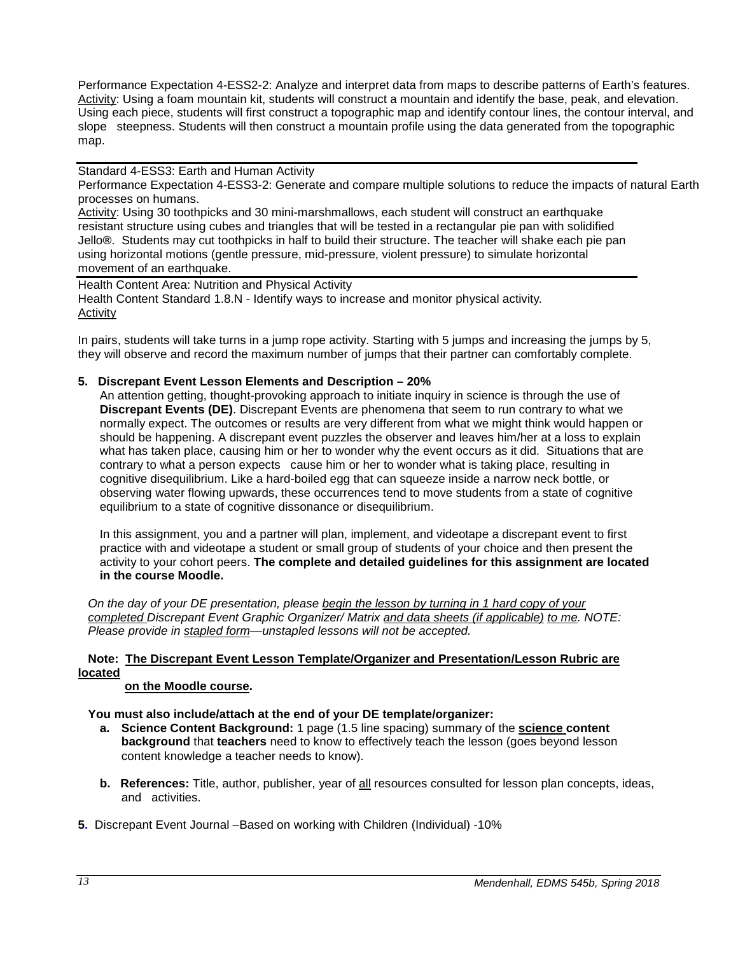Performance Expectation 4-ESS2-2: Analyze and interpret data from maps to describe patterns of Earth's features. Activity: Using a foam mountain kit, students will construct a mountain and identify the base, peak, and elevation. Using each piece, students will first construct a topographic map and identify contour lines, the contour interval, and slope steepness. Students will then construct a mountain profile using the data generated from the topographic map.

Standard 4-ESS3: Earth and Human Activity

Performance Expectation 4-ESS3-2: Generate and compare multiple solutions to reduce the impacts of natural Earth processes on humans.

Activity: Using 30 toothpicks and 30 mini-marshmallows, each student will construct an earthquake resistant structure using cubes and triangles that will be tested in a rectangular pie pan with solidified Jello**®**. Students may cut toothpicks in half to build their structure. The teacher will shake each pie pan using horizontal motions (gentle pressure, mid-pressure, violent pressure) to simulate horizontal movement of an earthquake.

Health Content Area: Nutrition and Physical Activity Health Content Standard 1.8.N - Identify ways to increase and monitor physical activity*.* **Activity** 

In pairs, students will take turns in a jump rope activity. Starting with 5 jumps and increasing the jumps by 5, they will observe and record the maximum number of jumps that their partner can comfortably complete.

# **5. Discrepant Event Lesson Elements and Description – 20%**

An attention getting, thought-provoking approach to initiate inquiry in science is through the use of **Discrepant Events (DE)**. Discrepant Events are phenomena that seem to run contrary to what we normally expect. The outcomes or results are very different from what we might think would happen or should be happening. A discrepant event puzzles the observer and leaves him/her at a loss to explain what has taken place, causing him or her to wonder why the event occurs as it did. Situations that are contrary to what a person expects cause him or her to wonder what is taking place, resulting in cognitive disequilibrium. Like a hard-boiled egg that can squeeze inside a narrow neck bottle, or observing water flowing upwards, these occurrences tend to move students from a state of cognitive equilibrium to a state of cognitive dissonance or disequilibrium.

In this assignment, you and a partner will plan, implement, and videotape a discrepant event to first practice with and videotape a student or small group of students of your choice and then present the activity to your cohort peers. **The complete and detailed guidelines for this assignment are located in the course Moodle.** 

*On the day of your DE presentation, please begin the lesson by turning in 1 hard copy of your completed Discrepant Event Graphic Organizer/ Matrix and data sheets (if applicable) to me. NOTE: Please provide in stapled form—unstapled lessons will not be accepted.* 

# **Note: The Discrepant Event Lesson Template/Organizer and Presentation/Lesson Rubric are located**

#### **on the Moodle course.**

**You must also include/attach at the end of your DE template/organizer:**

- **a. Science Content Background:** 1 page (1.5 line spacing) summary of the **science content background** that **teachers** need to know to effectively teach the lesson (goes beyond lesson content knowledge a teacher needs to know).
- **b. References:** Title, author, publisher, year of all resources consulted for lesson plan concepts, ideas, and activities.
- **5.** Discrepant Event Journal –Based on working with Children (Individual) -10%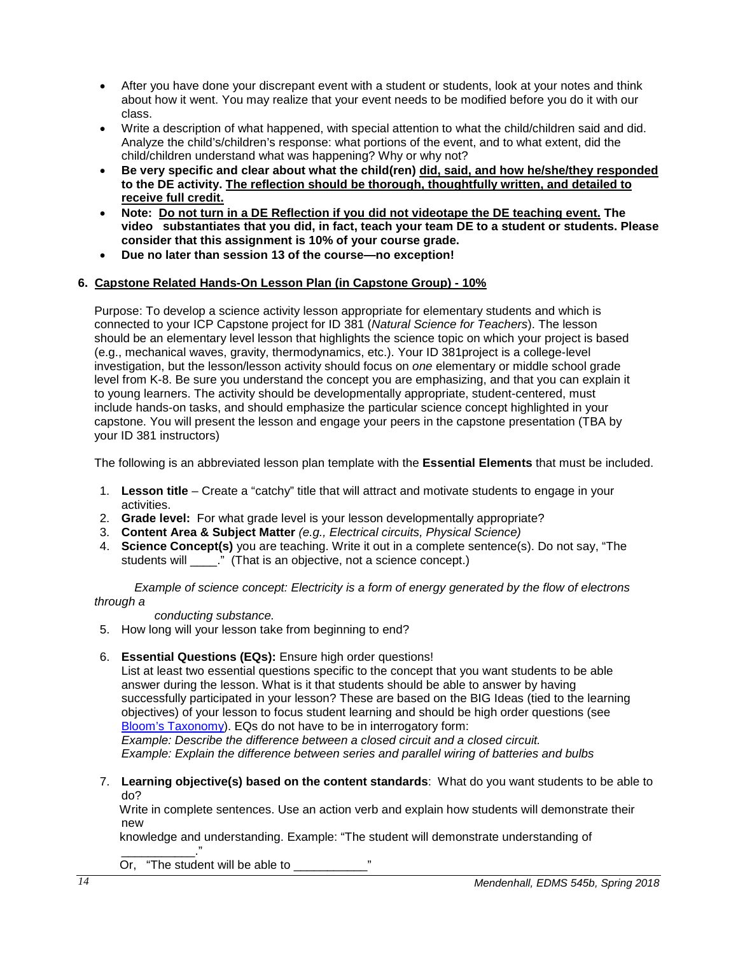- After you have done your discrepant event with a student or students, look at your notes and think about how it went. You may realize that your event needs to be modified before you do it with our class.
- Write a description of what happened, with special attention to what the child/children said and did. Analyze the child's/children's response: what portions of the event, and to what extent, did the child/children understand what was happening? Why or why not?
- **Be very specific and clear about what the child(ren) did, said, and how he/she/they responded to the DE activity. The reflection should be thorough, thoughtfully written, and detailed to receive full credit.**
- **Note: Do not turn in a DE Reflection if you did not videotape the DE teaching event. The video substantiates that you did, in fact, teach your team DE to a student or students. Please consider that this assignment is 10% of your course grade.**
- **Due no later than session 13 of the course—no exception!**

# **6. Capstone Related Hands-On Lesson Plan (in Capstone Group) - 10%**

Purpose: To develop a science activity lesson appropriate for elementary students and which is connected to your ICP Capstone project for ID 381 (*Natural Science for Teachers*). The lesson should be an elementary level lesson that highlights the science topic on which your project is based (e.g., mechanical waves, gravity, thermodynamics, etc.). Your ID 381project is a college-level investigation, but the lesson/lesson activity should focus on *one* elementary or middle school grade level from K-8. Be sure you understand the concept you are emphasizing, and that you can explain it to young learners. The activity should be developmentally appropriate, student-centered, must include hands-on tasks, and should emphasize the particular science concept highlighted in your capstone. You will present the lesson and engage your peers in the capstone presentation (TBA by your ID 381 instructors)

The following is an abbreviated lesson plan template with the **Essential Elements** that must be included.

- 1. **Lesson title** Create a "catchy" title that will attract and motivate students to engage in your activities.
- 2. **Grade level:** For what grade level is your lesson developmentally appropriate?
- 3. **Content Area & Subject Matter** *(e.g., Electrical circuits, Physical Science)*
- 4. **Science Concept(s)** you are teaching. Write it out in a complete sentence(s). Do not say, "The students will \_\_\_\_\_." (That is an objective, not a science concept.)

*Example of science concept: Electricity is a form of energy generated by the flow of electrons through a* 

 *conducting substance.* 

- 5. How long will your lesson take from beginning to end?
- 6. **Essential Questions (EQs):** Ensure high order questions!

List at least two essential questions specific to the concept that you want students to be able answer during the lesson. What is it that students should be able to answer by having successfully participated in your lesson? These are based on the BIG Ideas (tied to the learning objectives) of your lesson to focus student learning and should be high order questions (see [Bloom's Taxonomy\)](http://www.odu.edu/educ/roverbau/Bloom/blooms_taxonomy.htm). EQs do not have to be in interrogatory form:

*Example: Describe the difference between a closed circuit and a closed circuit. Example: Explain the difference between series and parallel wiring of batteries and bulbs*

7. **Learning objective(s) based on the content standards**: What do you want students to be able to do?

 Write in complete sentences. Use an action verb and explain how students will demonstrate their new

knowledge and understanding. Example: "The student will demonstrate understanding of

\_\_\_\_\_\_\_\_\_\_\_." Or, "The student will be able to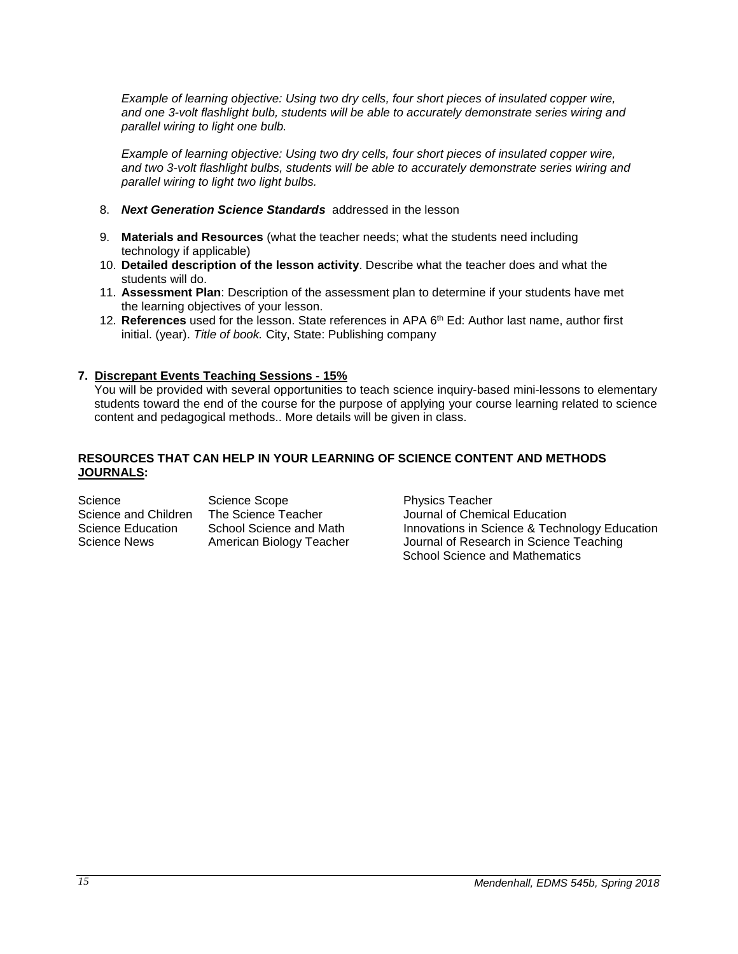*Example of learning objective: Using two dry cells, four short pieces of insulated copper wire, and one 3-volt flashlight bulb, students will be able to accurately demonstrate series wiring and parallel wiring to light one bulb.* 

*Example of learning objective: Using two dry cells, four short pieces of insulated copper wire, and two 3-volt flashlight bulbs, students will be able to accurately demonstrate series wiring and parallel wiring to light two light bulbs.*

- 8. *Next Generation Science Standards* addressed in the lesson
- 9. **Materials and Resources** (what the teacher needs; what the students need including technology if applicable)
- 10. **Detailed description of the lesson activity**. Describe what the teacher does and what the students will do.
- 11. **Assessment Plan**: Description of the assessment plan to determine if your students have met the learning objectives of your lesson.
- 12. **References** used for the lesson. State references in APA 6th Ed: Author last name, author first initial. (year). *Title of book.* City, State: Publishing company

# **7. Discrepant Events Teaching Sessions - 15%**

You will be provided with several opportunities to teach science inquiry-based mini-lessons to elementary students toward the end of the course for the purpose of applying your course learning related to science content and pedagogical methods.. More details will be given in class.

### **RESOURCES THAT CAN HELP IN YOUR LEARNING OF SCIENCE CONTENT AND METHODS JOURNALS:**

| Science              | Science Scope           |
|----------------------|-------------------------|
| Science and Children | The Science Teacher     |
| Science Education    | School Science and Math |
| <b>Science News</b>  | American Biology Teache |
|                      |                         |

Physics Teacher Journal of Chemical Education Science & Technology Education Science and Technology Education Biology Journal of Research in Science Teaching School Science and Mathematics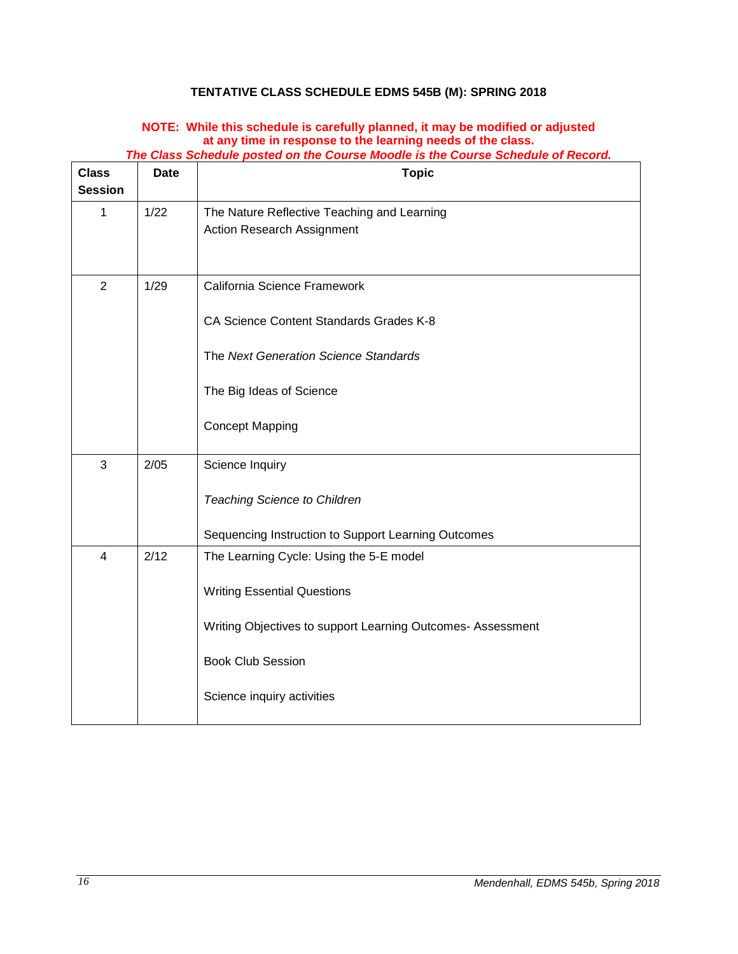# **TENTATIVE CLASS SCHEDULE EDMS 545B (M): SPRING 2018**

# **NOTE: While this schedule is carefully planned, it may be modified or adjusted at any time in response to the learning needs of the class.**

<span id="page-15-0"></span>

| <b>Class</b>   | <b>Date</b> | <b>Topic</b>                                                                                                                                                                                           |
|----------------|-------------|--------------------------------------------------------------------------------------------------------------------------------------------------------------------------------------------------------|
| <b>Session</b> |             |                                                                                                                                                                                                        |
| $\mathbf{1}$   | 1/22        | The Nature Reflective Teaching and Learning<br>Action Research Assignment                                                                                                                              |
| $\overline{2}$ | 1/29        | California Science Framework<br>CA Science Content Standards Grades K-8<br>The Next Generation Science Standards<br>The Big Ideas of Science<br><b>Concept Mapping</b>                                 |
| 3              | 2/05        | Science Inquiry<br><b>Teaching Science to Children</b><br>Sequencing Instruction to Support Learning Outcomes                                                                                          |
| 4              | 2/12        | The Learning Cycle: Using the 5-E model<br><b>Writing Essential Questions</b><br>Writing Objectives to support Learning Outcomes- Assessment<br><b>Book Club Session</b><br>Science inquiry activities |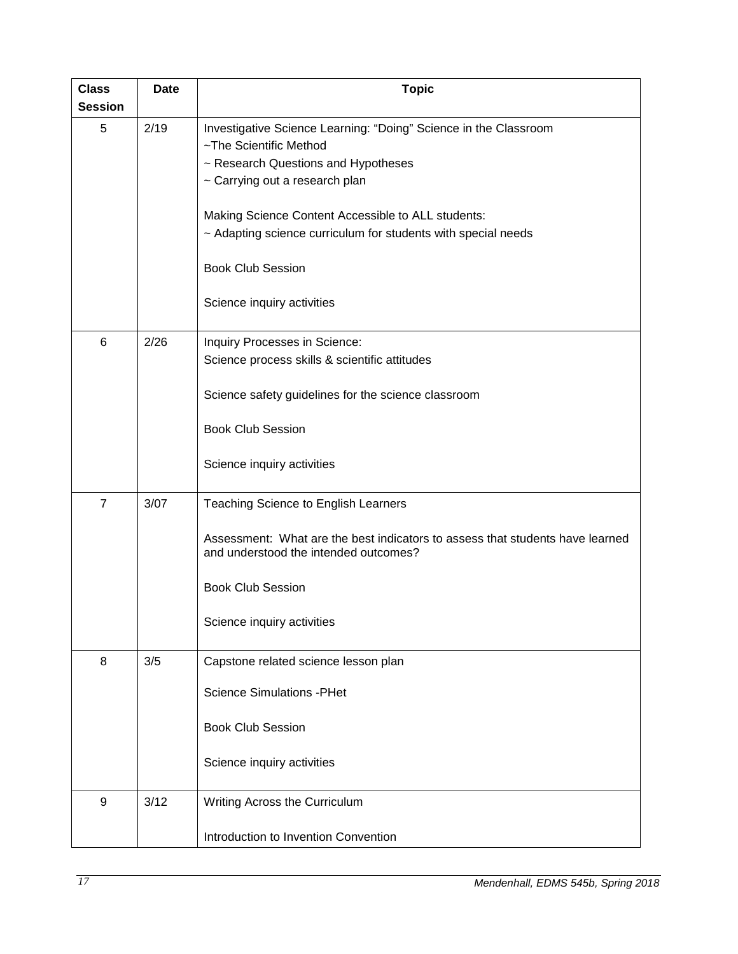| <b>Class</b><br><b>Session</b> | <b>Date</b> | <b>Topic</b>                                                                                                                                                                                                                                                                                                                                         |  |  |
|--------------------------------|-------------|------------------------------------------------------------------------------------------------------------------------------------------------------------------------------------------------------------------------------------------------------------------------------------------------------------------------------------------------------|--|--|
| 5                              | 2/19        | Investigative Science Learning: "Doing" Science in the Classroom<br>~The Scientific Method<br>~ Research Questions and Hypotheses<br>~ Carrying out a research plan<br>Making Science Content Accessible to ALL students:<br>~ Adapting science curriculum for students with special needs<br><b>Book Club Session</b><br>Science inquiry activities |  |  |
| 6                              | 2/26        | Inquiry Processes in Science:<br>Science process skills & scientific attitudes<br>Science safety guidelines for the science classroom<br><b>Book Club Session</b><br>Science inquiry activities                                                                                                                                                      |  |  |
| $\overline{7}$                 | 3/07        | Teaching Science to English Learners<br>Assessment: What are the best indicators to assess that students have learned<br>and understood the intended outcomes?<br><b>Book Club Session</b><br>Science inquiry activities                                                                                                                             |  |  |
| 8                              | 3/5         | Capstone related science lesson plan<br><b>Science Simulations - PHet</b><br><b>Book Club Session</b><br>Science inquiry activities                                                                                                                                                                                                                  |  |  |
| 9                              | 3/12        | Writing Across the Curriculum<br>Introduction to Invention Convention                                                                                                                                                                                                                                                                                |  |  |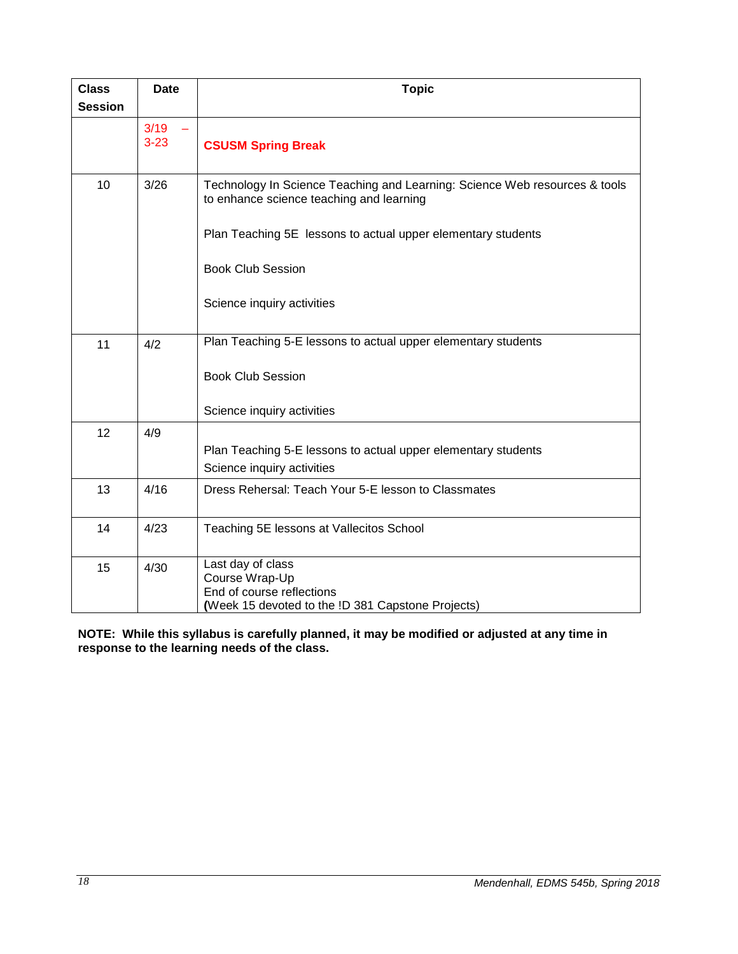| <b>Class</b><br><b>Session</b> | <b>Date</b>      | <b>Topic</b>                                                                                                           |
|--------------------------------|------------------|------------------------------------------------------------------------------------------------------------------------|
|                                | 3/19<br>$3 - 23$ | <b>CSUSM Spring Break</b>                                                                                              |
| 10                             | 3/26             | Technology In Science Teaching and Learning: Science Web resources & tools<br>to enhance science teaching and learning |
|                                |                  | Plan Teaching 5E lessons to actual upper elementary students                                                           |
|                                |                  | <b>Book Club Session</b>                                                                                               |
|                                |                  | Science inquiry activities                                                                                             |
| 11                             | 4/2              | Plan Teaching 5-E lessons to actual upper elementary students                                                          |
|                                |                  | <b>Book Club Session</b>                                                                                               |
|                                |                  | Science inquiry activities                                                                                             |
| 12                             | 4/9              | Plan Teaching 5-E lessons to actual upper elementary students<br>Science inquiry activities                            |
| 13                             | 4/16             | Dress Rehersal: Teach Your 5-E lesson to Classmates                                                                    |
| 14                             | 4/23             | Teaching 5E lessons at Vallecitos School                                                                               |
| 15                             | 4/30             | Last day of class<br>Course Wrap-Up<br>End of course reflections<br>(Week 15 devoted to the !D 381 Capstone Projects)  |

**NOTE: While this syllabus is carefully planned, it may be modified or adjusted at any time in response to the learning needs of the class.**